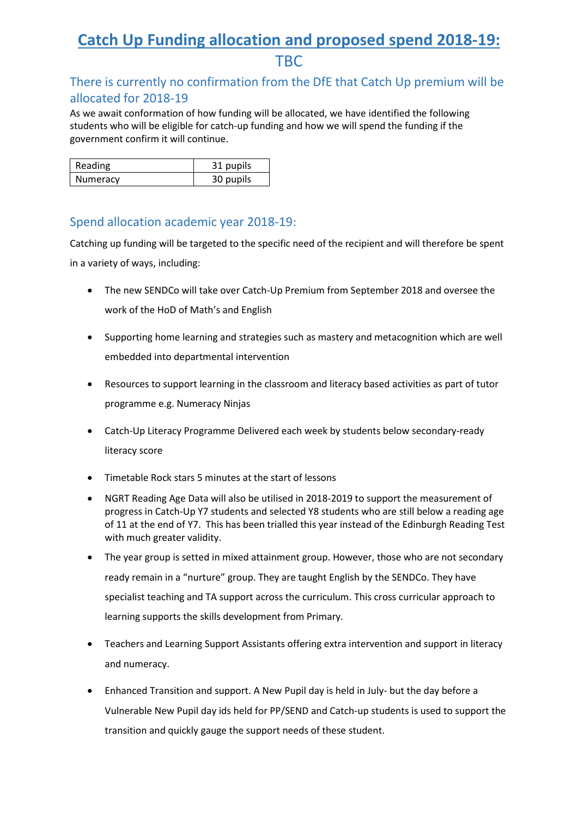## **Catch Up Funding allocation and proposed spend 2018-19:**  TBC

## There is currently no confirmation from the DfE that Catch Up premium will be allocated for 2018-19

As we await conformation of how funding will be allocated, we have identified the following students who will be eligible for catch-up funding and how we will spend the funding if the government confirm it will continue.

| Reading  | 31 pupils |
|----------|-----------|
| Numeracy | 30 pupils |

## Spend allocation academic year 2018-19:

Catching up funding will be targeted to the specific need of the recipient and will therefore be spent in a variety of ways, including:

- The new SENDCo will take over Catch-Up Premium from September 2018 and oversee the work of the HoD of Math's and English
- Supporting home learning and strategies such as mastery and metacognition which are well embedded into departmental intervention
- Resources to support learning in the classroom and literacy based activities as part of tutor programme e.g. Numeracy Ninjas
- Catch-Up Literacy Programme Delivered each week by students below secondary-ready literacy score
- Timetable Rock stars 5 minutes at the start of lessons
- NGRT Reading Age Data will also be utilised in 2018-2019 to support the measurement of progress in Catch-Up Y7 students and selected Y8 students who are still below a reading age of 11 at the end of Y7. This has been trialled this year instead of the Edinburgh Reading Test with much greater validity.
- The year group is setted in mixed attainment group. However, those who are not secondary ready remain in a "nurture" group. They are taught English by the SENDCo. They have specialist teaching and TA support across the curriculum. This cross curricular approach to learning supports the skills development from Primary.
- Teachers and Learning Support Assistants offering extra intervention and support in literacy and numeracy.
- Enhanced Transition and support. A New Pupil day is held in July- but the day before a Vulnerable New Pupil day ids held for PP/SEND and Catch-up students is used to support the transition and quickly gauge the support needs of these student.